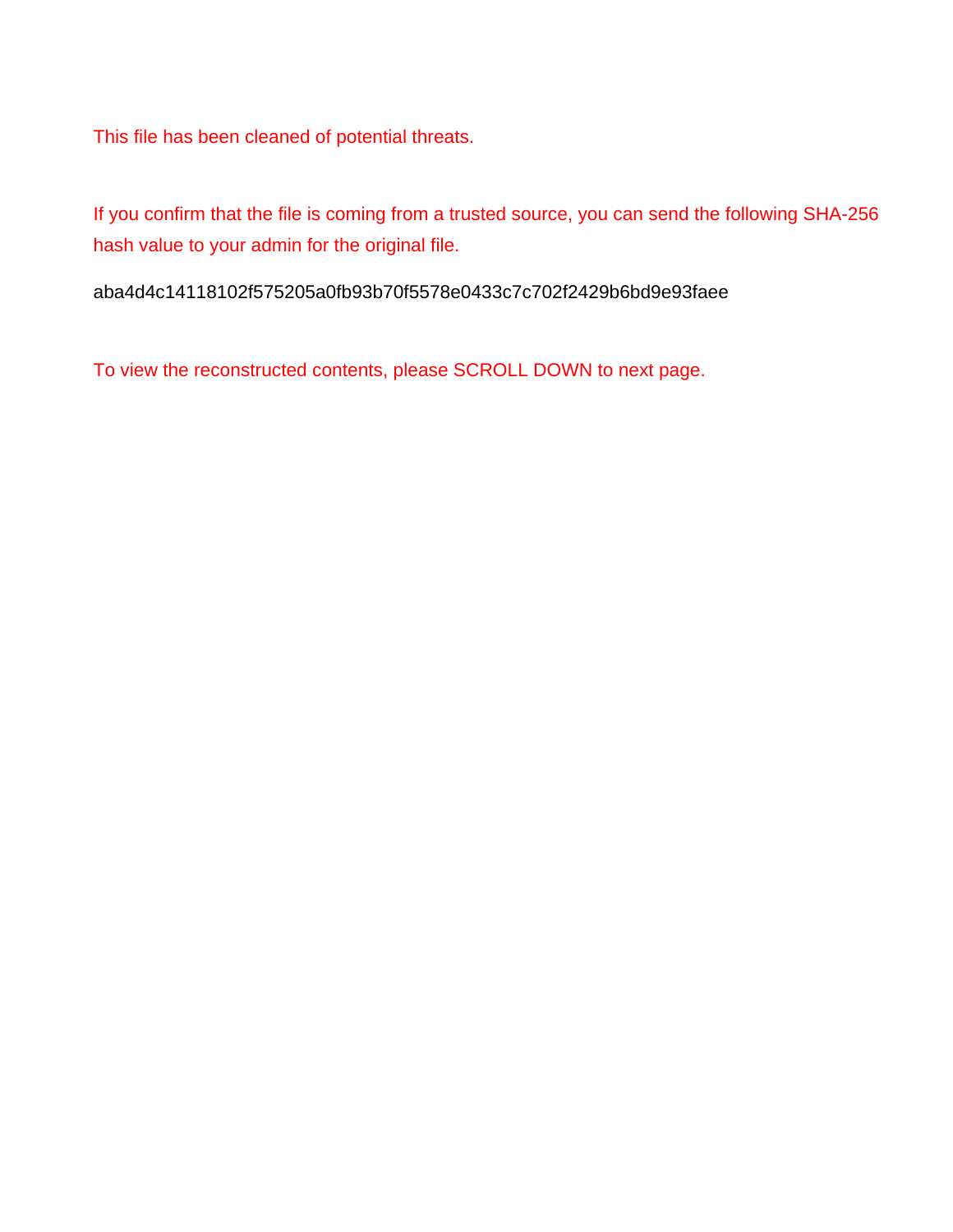This file has been cleaned of potential threats.

If you confirm that the file is coming from a trusted source, you can send the following SHA-256 hash value to your admin for the original file.

aba4d4c14118102f575205a0fb93b70f5578e0433c7c702f2429b6bd9e93faee

To view the reconstructed contents, please SCROLL DOWN to next page.